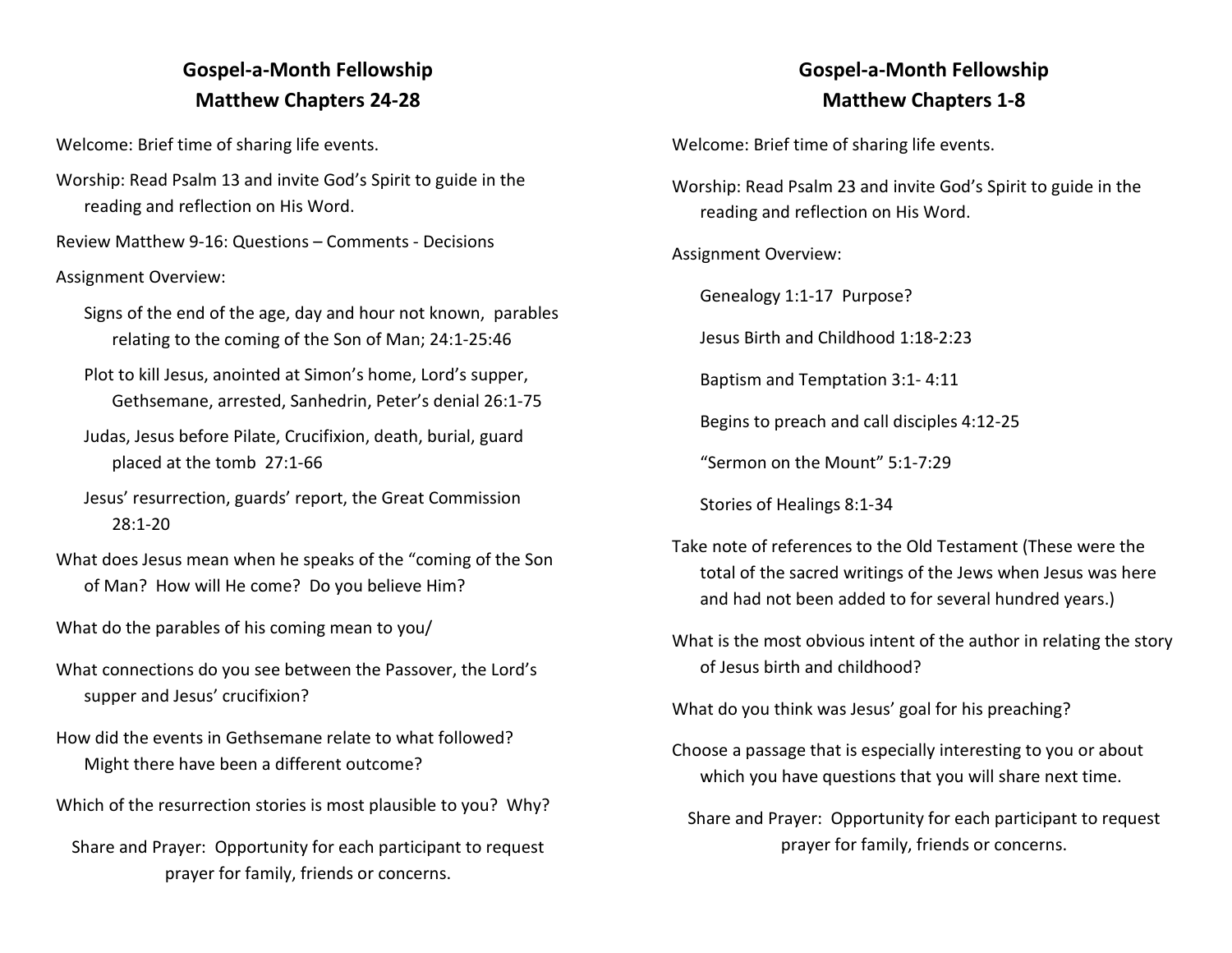# **Gospel-a-Month Fellowship Matthew Chapters 24-28**

Welcome: Brief time of sharing life events.

Worship: Read Psalm 13 and invite God's Spirit to guide in the reading and reflection on His Word.

Review Matthew 9-16: Questions – Comments - Decisions

#### Assignment Overview:

Signs of the end of the age, day and hour not known, parables relating to the coming of the Son of Man; 24:1-25:46

- Plot to kill Jesus, anointed at Simon's home, Lord's supper, Gethsemane, arrested, Sanhedrin, Peter's denial 26:1-75
- Judas, Jesus before Pilate, Crucifixion, death, burial, guard placed at the tomb 27:1-66
- Jesus' resurrection, guards' report, the Great Commission 28:1-20
- What does Jesus mean when he speaks of the "coming of the Son of Man? How will He come? Do you believe Him?
- What do the parables of his coming mean to you/
- What connections do you see between the Passover, the Lord's supper and Jesus' crucifixion?
- How did the events in Gethsemane relate to what followed? Might there have been a different outcome?
- Which of the resurrection stories is most plausible to you? Why?
	- Share and Prayer: Opportunity for each participant to request prayer for family, friends or concerns.

## **Gospel-a-Month Fellowship Matthew Chapters 1-8**

Welcome: Brief time of sharing life events.

- Worship: Read Psalm 23 and invite God's Spirit to guide in the reading and reflection on His Word.
- Assignment Overview:

Genealogy 1:1-17 Purpose?

Jesus Birth and Childhood 1:18-2:23

Baptism and Temptation 3:1- 4:11

Begins to preach and call disciples 4:12-25

"Sermon on the Mount" 5:1-7:29

Stories of Healings 8:1-34

- Take note of references to the Old Testament (These were the total of the sacred writings of the Jews when Jesus was here and had not been added to for several hundred years.)
- What is the most obvious intent of the author in relating the story of Jesus birth and childhood?

What do you think was Jesus' goal for his preaching?

- Choose a passage that is especially interesting to you or about which you have questions that you will share next time.
	- Share and Prayer: Opportunity for each participant to request prayer for family, friends or concerns.